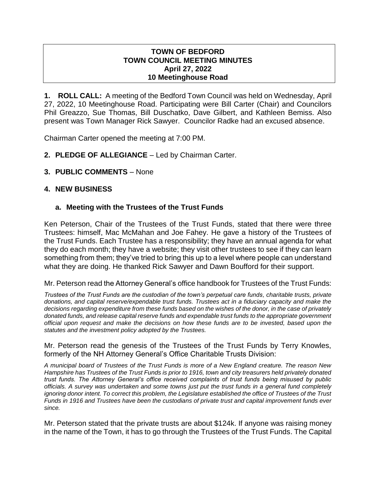### **TOWN OF BEDFORD TOWN COUNCIL MEETING MINUTES April 27, 2022 10 Meetinghouse Road**

**1. ROLL CALL:** A meeting of the Bedford Town Council was held on Wednesday, April 27, 2022, 10 Meetinghouse Road. Participating were Bill Carter (Chair) and Councilors Phil Greazzo, Sue Thomas, Bill Duschatko, Dave Gilbert, and Kathleen Bemiss. Also present was Town Manager Rick Sawyer. Councilor Radke had an excused absence.

Chairman Carter opened the meeting at 7:00 PM.

- **2. PLEDGE OF ALLEGIANCE**  Led by Chairman Carter.
- **3. PUBLIC COMMENTS** None

# **4. NEW BUSINESS**

# **a. Meeting with the Trustees of the Trust Funds**

Ken Peterson, Chair of the Trustees of the Trust Funds, stated that there were three Trustees: himself, Mac McMahan and Joe Fahey. He gave a history of the Trustees of the Trust Funds. Each Trustee has a responsibility; they have an annual agenda for what they do each month; they have a website; they visit other trustees to see if they can learn something from them; they've tried to bring this up to a level where people can understand what they are doing. He thanked Rick Sawyer and Dawn Boufford for their support.

Mr. Peterson read the Attorney General's office handbook for Trustees of the Trust Funds:

*Trustees of the Trust Funds are the custodian of the town's perpetual care funds, charitable trusts, private donations, and capital reserve/expendable trust funds. Trustees act in a fiduciary capacity and make the decisions regarding expenditure from these funds based on the wishes of the donor, in the case of privately donated funds, and release capital reserve funds and expendable trust funds to the appropriate government official upon request and make the decisions on how these funds are to be invested, based upon the statutes and the investment policy adopted by the Trustees.*

Mr. Peterson read the genesis of the Trustees of the Trust Funds by Terry Knowles, formerly of the NH Attorney General's Office Charitable Trusts Division:

*A municipal board of Trustees of the Trust Funds is more of a New England creature. The reason New Hampshire has Trustees of the Trust Funds is prior to 1916, town and city treasurers held privately donated trust funds. The Attorney General's office received complaints of trust funds being misused by public officials. A survey was undertaken and some towns just put the trust funds in a general fund completely ignoring donor intent. To correct this problem, the Legislature established the office of Trustees of the Trust Funds in 1916 and Trustees have been the custodians of private trust and capital improvement funds ever since.*

Mr. Peterson stated that the private trusts are about \$124k. If anyone was raising money in the name of the Town, it has to go through the Trustees of the Trust Funds. The Capital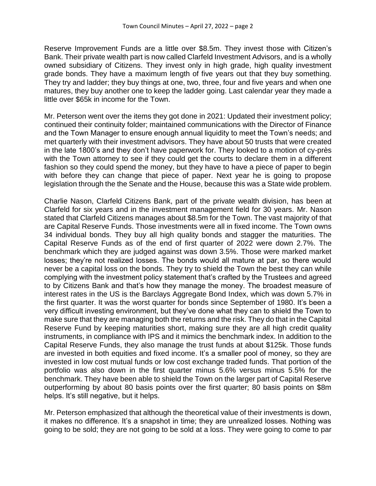Reserve Improvement Funds are a little over \$8.5m. They invest those with Citizen's Bank. Their private wealth part is now called Clarfeld Investment Advisors, and is a wholly owned subsidiary of Citizens. They invest only in high grade, high quality investment grade bonds. They have a maximum length of five years out that they buy something. They try and ladder; they buy things at one, two, three, four and five years and when one matures, they buy another one to keep the ladder going. Last calendar year they made a little over \$65k in income for the Town.

Mr. Peterson went over the items they got done in 2021: Updated their investment policy; continued their continuity folder; maintained communications with the Director of Finance and the Town Manager to ensure enough annual liquidity to meet the Town's needs; and met quarterly with their investment advisors. They have about 50 trusts that were created in the late 1800's and they don't have paperwork for. They looked to a motion of cy-près with the Town attorney to see if they could get the courts to declare them in a different fashion so they could spend the money, but they have to have a piece of paper to begin with before they can change that piece of paper. Next year he is going to propose legislation through the the Senate and the House, because this was a State wide problem.

Charlie Nason, Clarfeld Citizens Bank, part of the private wealth division, has been at Clarfeld for six years and in the investment management field for 30 years. Mr. Nason stated that Clarfeld Citizens manages about \$8.5m for the Town. The vast majority of that are Capital Reserve Funds. Those investments were all in fixed income. The Town owns 34 individual bonds. They buy all high quality bonds and stagger the maturities. The Capital Reserve Funds as of the end of first quarter of 2022 were down 2.7%. The benchmark which they are judged against was down 3.5%. Those were marked market losses; they're not realized losses. The bonds would all mature at par, so there would never be a capital loss on the bonds. They try to shield the Town the best they can while complying with the investment policy statement that's crafted by the Trustees and agreed to by Citizens Bank and that's how they manage the money. The broadest measure of interest rates in the US is the Barclays Aggregate Bond Index, which was down 5.7% in the first quarter. It was the worst quarter for bonds since September of 1980. It's been a very difficult investing environment, but they've done what they can to shield the Town to make sure that they are managing both the returns and the risk. They do that in the Capital Reserve Fund by keeping maturities short, making sure they are all high credit quality instruments, in compliance with IPS and it mimics the benchmark index. In addition to the Capital Reserve Funds, they also manage the trust funds at about \$125k. Those funds are invested in both equities and fixed income. It's a smaller pool of money, so they are invested in low cost mutual funds or low cost exchange traded funds. That portion of the portfolio was also down in the first quarter minus 5.6% versus minus 5.5% for the benchmark. They have been able to shield the Town on the larger part of Capital Reserve outperforming by about 80 basis points over the first quarter; 80 basis points on \$8m helps. It's still negative, but it helps.

Mr. Peterson emphasized that although the theoretical value of their investments is down, it makes no difference. It's a snapshot in time; they are unrealized losses. Nothing was going to be sold; they are not going to be sold at a loss. They were going to come to par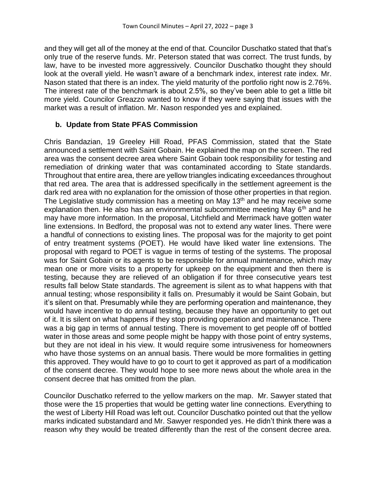and they will get all of the money at the end of that. Councilor Duschatko stated that that's only true of the reserve funds. Mr. Peterson stated that was correct. The trust funds, by law, have to be invested more aggressively. Councilor Duschatko thought they should look at the overall yield. He wasn't aware of a benchmark index, interest rate index. Mr. Nason stated that there is an index. The yield maturity of the portfolio right now is 2.76%. The interest rate of the benchmark is about 2.5%, so they've been able to get a little bit more yield. Councilor Greazzo wanted to know if they were saying that issues with the market was a result of inflation. Mr. Nason responded yes and explained.

# **b. Update from State PFAS Commission**

Chris Bandazian, 19 Greeley Hill Road, PFAS Commission, stated that the State announced a settlement with Saint Gobain. He explained the map on the screen. The red area was the consent decree area where Saint Gobain took responsibility for testing and remediation of drinking water that was contaminated according to State standards. Throughout that entire area, there are yellow triangles indicating exceedances throughout that red area. The area that is addressed specifically in the settlement agreement is the dark red area with no explanation for the omission of those other properties in that region. The Legislative study commission has a meeting on May 13<sup>th</sup> and he may receive some explanation then. He also has an environmental subcommittee meeting May 6<sup>th</sup> and he may have more information. In the proposal, Litchfield and Merrimack have gotten water line extensions. In Bedford, the proposal was not to extend any water lines. There were a handful of connections to existing lines. The proposal was for the majority to get point of entry treatment systems (POET). He would have liked water line extensions. The proposal with regard to POET is vague in terms of testing of the systems. The proposal was for Saint Gobain or its agents to be responsible for annual maintenance, which may mean one or more visits to a property for upkeep on the equipment and then there is testing, because they are relieved of an obligation if for three consecutive years test results fall below State standards. The agreement is silent as to what happens with that annual testing; whose responsibility it falls on. Presumably it would be Saint Gobain, but it's silent on that. Presumably while they are performing operation and maintenance, they would have incentive to do annual testing, because they have an opportunity to get out of it. It is silent on what happens if they stop providing operation and maintenance. There was a big gap in terms of annual testing. There is movement to get people off of bottled water in those areas and some people might be happy with those point of entry systems, but they are not ideal in his view. It would require some intrusiveness for homeowners who have those systems on an annual basis. There would be more formalities in getting this approved. They would have to go to court to get it approved as part of a modification of the consent decree. They would hope to see more news about the whole area in the consent decree that has omitted from the plan.

Councilor Duschatko referred to the yellow markers on the map. Mr. Sawyer stated that those were the 15 properties that would be getting water line connections. Everything to the west of Liberty Hill Road was left out. Councilor Duschatko pointed out that the yellow marks indicated substandard and Mr. Sawyer responded yes. He didn't think there was a reason why they would be treated differently than the rest of the consent decree area.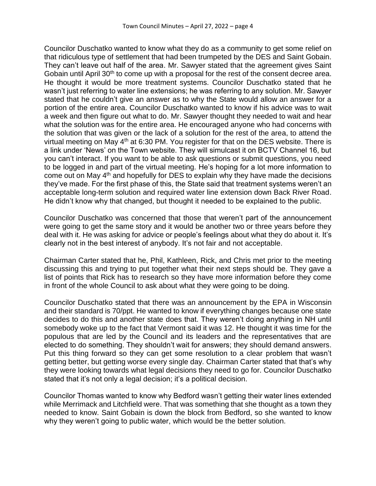Councilor Duschatko wanted to know what they do as a community to get some relief on that ridiculous type of settlement that had been trumpeted by the DES and Saint Gobain. They can't leave out half of the area. Mr. Sawyer stated that the agreement gives Saint Gobain until April 30<sup>th</sup> to come up with a proposal for the rest of the consent decree area. He thought it would be more treatment systems. Councilor Duschatko stated that he wasn't just referring to water line extensions; he was referring to any solution. Mr. Sawyer stated that he couldn't give an answer as to why the State would allow an answer for a portion of the entire area. Councilor Duschatko wanted to know if his advice was to wait a week and then figure out what to do. Mr. Sawyer thought they needed to wait and hear what the solution was for the entire area. He encouraged anyone who had concerns with the solution that was given or the lack of a solution for the rest of the area, to attend the virtual meeting on May  $4<sup>th</sup>$  at 6:30 PM. You register for that on the DES website. There is a link under 'News' on the Town website. They will simulcast it on BCTV Channel 16, but you can't interact. If you want to be able to ask questions or submit questions, you need to be logged in and part of the virtual meeting. He's hoping for a lot more information to come out on May  $4<sup>th</sup>$  and hopefully for DES to explain why they have made the decisions they've made. For the first phase of this, the State said that treatment systems weren't an acceptable long-term solution and required water line extension down Back River Road. He didn't know why that changed, but thought it needed to be explained to the public.

Councilor Duschatko was concerned that those that weren't part of the announcement were going to get the same story and it would be another two or three years before they deal with it. He was asking for advice or people's feelings about what they do about it. It's clearly not in the best interest of anybody. It's not fair and not acceptable.

Chairman Carter stated that he, Phil, Kathleen, Rick, and Chris met prior to the meeting discussing this and trying to put together what their next steps should be. They gave a list of points that Rick has to research so they have more information before they come in front of the whole Council to ask about what they were going to be doing.

Councilor Duschatko stated that there was an announcement by the EPA in Wisconsin and their standard is 70/ppt. He wanted to know if everything changes because one state decides to do this and another state does that. They weren't doing anything in NH until somebody woke up to the fact that Vermont said it was 12. He thought it was time for the populous that are led by the Council and its leaders and the representatives that are elected to do something. They shouldn't wait for answers; they should demand answers. Put this thing forward so they can get some resolution to a clear problem that wasn't getting better, but getting worse every single day. Chairman Carter stated that that's why they were looking towards what legal decisions they need to go for. Councilor Duschatko stated that it's not only a legal decision; it's a political decision.

Councilor Thomas wanted to know why Bedford wasn't getting their water lines extended while Merrimack and Litchfield were. That was something that she thought as a town they needed to know. Saint Gobain is down the block from Bedford, so she wanted to know why they weren't going to public water, which would be the better solution.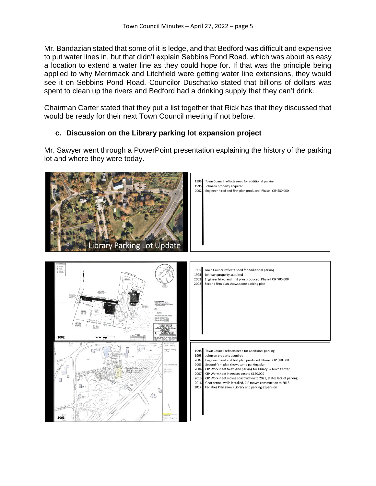Mr. Bandazian stated that some of it is ledge, and that Bedford was difficult and expensive to put water lines in, but that didn't explain Sebbins Pond Road, which was about as easy a location to extend a water line as they could hope for. If that was the principle being applied to why Merrimack and Litchfield were getting water line extensions, they would see it on Sebbins Pond Road. Councilor Duschatko stated that billions of dollars was spent to clean up the rivers and Bedford had a drinking supply that they can't drink.

Chairman Carter stated that they put a list together that Rick has that they discussed that would be ready for their next Town Council meeting if not before.

# **c. Discussion on the Library parking lot expansion project**

Mr. Sawyer went through a PowerPoint presentation explaining the history of the parking lot and where they were today.

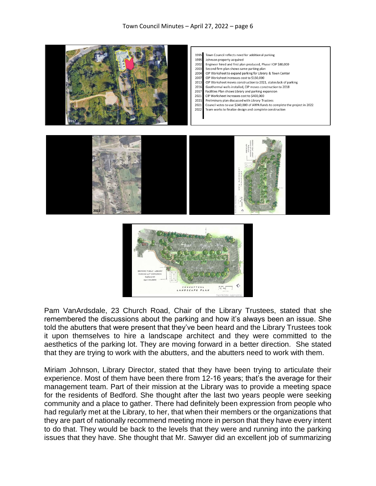

Pam VanArdsdale, 23 Church Road, Chair of the Library Trustees, stated that she remembered the discussions about the parking and how it's always been an issue. She told the abutters that were present that they've been heard and the Library Trustees took it upon themselves to hire a landscape architect and they were committed to the aesthetics of the parking lot. They are moving forward in a better direction. She stated that they are trying to work with the abutters, and the abutters need to work with them.

CONCEPTUAL<br>NDSCAPE PLAN

TLT\_

Miriam Johnson, Library Director, stated that they have been trying to articulate their experience. Most of them have been there from 12-16 years; that's the average for their management team. Part of their mission at the Library was to provide a meeting space for the residents of Bedford. She thought after the last two years people were seeking community and a place to gather. There had definitely been expression from people who had regularly met at the Library, to her, that when their members or the organizations that they are part of nationally recommend meeting more in person that they have every intent to do that. They would be back to the levels that they were and running into the parking issues that they have. She thought that Mr. Sawyer did an excellent job of summarizing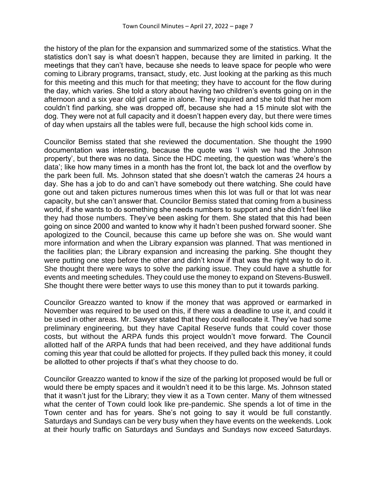the history of the plan for the expansion and summarized some of the statistics. What the statistics don't say is what doesn't happen, because they are limited in parking. It the meetings that they can't have, because she needs to leave space for people who were coming to Library programs, transact, study, etc. Just looking at the parking as this much for this meeting and this much for that meeting; they have to account for the flow during the day, which varies. She told a story about having two children's events going on in the afternoon and a six year old girl came in alone. They inquired and she told that her mom couldn't find parking, she was dropped off, because she had a 15 minute slot with the dog. They were not at full capacity and it doesn't happen every day, but there were times of day when upstairs all the tables were full, because the high school kids come in.

Councilor Bemiss stated that she reviewed the documentation. She thought the 1990 documentation was interesting, because the quote was 'I wish we had the Johnson property', but there was no data. Since the HDC meeting, the question was 'where's the data'; like how many times in a month has the front lot, the back lot and the overflow by the park been full. Ms. Johnson stated that she doesn't watch the cameras 24 hours a day. She has a job to do and can't have somebody out there watching. She could have gone out and taken pictures numerous times when this lot was full or that lot was near capacity, but she can't answer that. Councilor Bemiss stated that coming from a business world, if she wants to do something she needs numbers to support and she didn't feel like they had those numbers. They've been asking for them. She stated that this had been going on since 2000 and wanted to know why it hadn't been pushed forward sooner. She apologized to the Council, because this came up before she was on. She would want more information and when the Library expansion was planned. That was mentioned in the facilities plan; the Library expansion and increasing the parking. She thought they were putting one step before the other and didn't know if that was the right way to do it. She thought there were ways to solve the parking issue. They could have a shuttle for events and meeting schedules. They could use the money to expand on Stevens-Buswell. She thought there were better ways to use this money than to put it towards parking.

Councilor Greazzo wanted to know if the money that was approved or earmarked in November was required to be used on this, if there was a deadline to use it, and could it be used in other areas. Mr. Sawyer stated that they could reallocate it. They've had some preliminary engineering, but they have Capital Reserve funds that could cover those costs, but without the ARPA funds this project wouldn't move forward. The Council allotted half of the ARPA funds that had been received, and they have additional funds coming this year that could be allotted for projects. If they pulled back this money, it could be allotted to other projects if that's what they choose to do.

Councilor Greazzo wanted to know if the size of the parking lot proposed would be full or would there be empty spaces and it wouldn't need it to be this large. Ms. Johnson stated that it wasn't just for the Library; they view it as a Town center. Many of them witnessed what the center of Town could look like pre-pandemic. She spends a lot of time in the Town center and has for years. She's not going to say it would be full constantly. Saturdays and Sundays can be very busy when they have events on the weekends. Look at their hourly traffic on Saturdays and Sundays and Sundays now exceed Saturdays.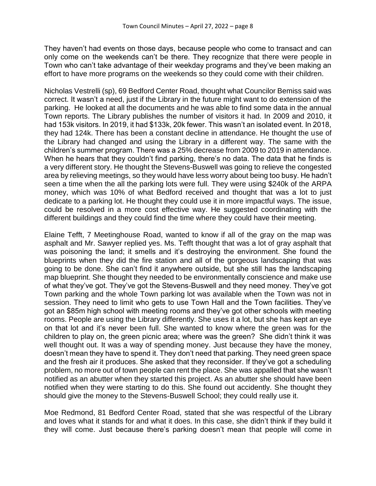They haven't had events on those days, because people who come to transact and can only come on the weekends can't be there. They recognize that there were people in Town who can't take advantage of their weekday programs and they've been making an effort to have more programs on the weekends so they could come with their children.

Nicholas Vestrelli (sp), 69 Bedford Center Road, thought what Councilor Bemiss said was correct. It wasn't a need, just if the Library in the future might want to do extension of the parking. He looked at all the documents and he was able to find some data in the annual Town reports. The Library publishes the number of visitors it had. In 2009 and 2010, it had 153k visitors. In 2019, it had \$133k, 20k fewer. This wasn't an isolated event. In 2018, they had 124k. There has been a constant decline in attendance. He thought the use of the Library had changed and using the Library in a different way. The same with the children's summer program. There was a 25% decrease from 2009 to 2019 in attendance. When he hears that they couldn't find parking, there's no data. The data that he finds is a very different story. He thought the Stevens-Buswell was going to relieve the congested area by relieving meetings, so they would have less worry about being too busy. He hadn't seen a time when the all the parking lots were full. They were using \$240k of the ARPA money, which was 10% of what Bedford received and thought that was a lot to just dedicate to a parking lot. He thought they could use it in more impactful ways. The issue, could be resolved in a more cost effective way. He suggested coordinating with the different buildings and they could find the time where they could have their meeting.

Elaine Tefft, 7 Meetinghouse Road, wanted to know if all of the gray on the map was asphalt and Mr. Sawyer replied yes. Ms. Tefft thought that was a lot of gray asphalt that was poisoning the land; it smells and it's destroying the environment. She found the blueprints when they did the fire station and all of the gorgeous landscaping that was going to be done. She can't find it anywhere outside, but she still has the landscaping map blueprint. She thought they needed to be environmentally conscience and make use of what they've got. They've got the Stevens-Buswell and they need money. They've got Town parking and the whole Town parking lot was available when the Town was not in session. They need to limit who gets to use Town Hall and the Town facilities. They've got an \$85m high school with meeting rooms and they've got other schools with meeting rooms. People are using the Library differently. She uses it a lot, but she has kept an eye on that lot and it's never been full. She wanted to know where the green was for the children to play on, the green picnic area; where was the green? She didn't think it was well thought out. It was a way of spending money. Just because they have the money, doesn't mean they have to spend it. They don't need that parking. They need green space and the fresh air it produces. She asked that they reconsider. If they've got a scheduling problem, no more out of town people can rent the place. She was appalled that she wasn't notified as an abutter when they started this project. As an abutter she should have been notified when they were starting to do this. She found out accidently. She thought they should give the money to the Stevens-Buswell School; they could really use it.

Moe Redmond, 81 Bedford Center Road, stated that she was respectful of the Library and loves what it stands for and what it does. In this case, she didn't think if they build it they will come. Just because there's parking doesn't mean that people will come in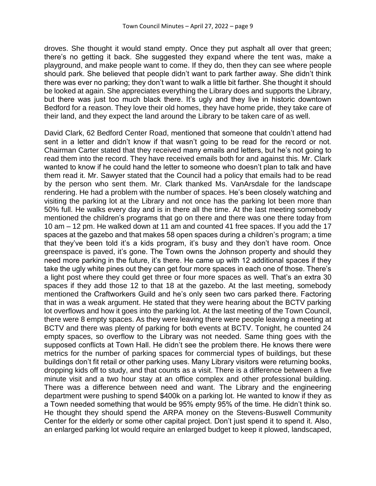droves. She thought it would stand empty. Once they put asphalt all over that green; there's no getting it back. She suggested they expand where the tent was, make a playground, and make people want to come. If they do, then they can see where people should park. She believed that people didn't want to park farther away. She didn't think there was ever no parking; they don't want to walk a little bit farther. She thought it should be looked at again. She appreciates everything the Library does and supports the Library, but there was just too much black there. It's ugly and they live in historic downtown Bedford for a reason. They love their old homes, they have home pride, they take care of their land, and they expect the land around the Library to be taken care of as well.

David Clark, 62 Bedford Center Road, mentioned that someone that couldn't attend had sent in a letter and didn't know if that wasn't going to be read for the record or not. Chairman Carter stated that they received many emails and letters, but he's not going to read them into the record. They have received emails both for and against this. Mr. Clark wanted to know if he could hand the letter to someone who doesn't plan to talk and have them read it. Mr. Sawyer stated that the Council had a policy that emails had to be read by the person who sent them. Mr. Clark thanked Ms. VanArsdale for the landscape rendering. He had a problem with the number of spaces. He's been closely watching and visiting the parking lot at the Library and not once has the parking lot been more than 50% full. He walks every day and is in there all the time. At the last meeting somebody mentioned the children's programs that go on there and there was one there today from 10 am – 12 pm. He walked down at 11 am and counted 41 free spaces. If you add the 17 spaces at the gazebo and that makes 58 open spaces during a children's program; a time that they've been told it's a kids program, it's busy and they don't have room. Once greenspace is paved, it's gone. The Town owns the Johnson property and should they need more parking in the future, it's there. He came up with 12 additional spaces if they take the ugly white pines out they can get four more spaces in each one of those. There's a light post where they could get three or four more spaces as well. That's an extra 30 spaces if they add those 12 to that 18 at the gazebo. At the last meeting, somebody mentioned the Craftworkers Guild and he's only seen two cars parked there. Factoring that in was a weak argument. He stated that they were hearing about the BCTV parking lot overflows and how it goes into the parking lot. At the last meeting of the Town Council, there were 8 empty spaces. As they were leaving there were people leaving a meeting at BCTV and there was plenty of parking for both events at BCTV. Tonight, he counted 24 empty spaces, so overflow to the Library was not needed. Same thing goes with the supposed conflicts at Town Hall. He didn't see the problem there. He knows there were metrics for the number of parking spaces for commercial types of buildings, but these buildings don't fit retail or other parking uses. Many Library visitors were returning books, dropping kids off to study, and that counts as a visit. There is a difference between a five minute visit and a two hour stay at an office complex and other professional building. There was a difference between need and want. The Library and the engineering department were pushing to spend \$400k on a parking lot. He wanted to know if they as a Town needed something that would be 95% empty 95% of the time. He didn't think so. He thought they should spend the ARPA money on the Stevens-Buswell Community Center for the elderly or some other capital project. Don't just spend it to spend it. Also, an enlarged parking lot would require an enlarged budget to keep it plowed, landscaped,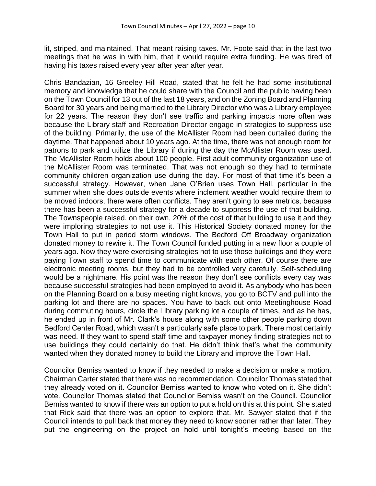lit, striped, and maintained. That meant raising taxes. Mr. Foote said that in the last two meetings that he was in with him, that it would require extra funding. He was tired of having his taxes raised every year after year after year.

Chris Bandazian, 16 Greeley Hill Road, stated that he felt he had some institutional memory and knowledge that he could share with the Council and the public having been on the Town Council for 13 out of the last 18 years, and on the Zoning Board and Planning Board for 30 years and being married to the Library Director who was a Library employee for 22 years. The reason they don't see traffic and parking impacts more often was because the Library staff and Recreation Director engage in strategies to suppress use of the building. Primarily, the use of the McAllister Room had been curtailed during the daytime. That happened about 10 years ago. At the time, there was not enough room for patrons to park and utilize the Library if during the day the McAllister Room was used. The McAllister Room holds about 100 people. First adult community organization use of the McAllister Room was terminated. That was not enough so they had to terminate community children organization use during the day. For most of that time it's been a successful strategy. However, when Jane O'Brien uses Town Hall, particular in the summer when she does outside events where inclement weather would require them to be moved indoors, there were often conflicts. They aren't going to see metrics, because there has been a successful strategy for a decade to suppress the use of that building. The Townspeople raised, on their own, 20% of the cost of that building to use it and they were imploring strategies to not use it. This Historical Society donated money for the Town Hall to put in period storm windows. The Bedford Off Broadway organization donated money to rewire it. The Town Council funded putting in a new floor a couple of years ago. Now they were exercising strategies not to use those buildings and they were paying Town staff to spend time to communicate with each other. Of course there are electronic meeting rooms, but they had to be controlled very carefully. Self-scheduling would be a nightmare. His point was the reason they don't see conflicts every day was because successful strategies had been employed to avoid it. As anybody who has been on the Planning Board on a busy meeting night knows, you go to BCTV and pull into the parking lot and there are no spaces. You have to back out onto Meetinghouse Road during commuting hours, circle the Library parking lot a couple of times, and as he has, he ended up in front of Mr. Clark's house along with some other people parking down Bedford Center Road, which wasn't a particularly safe place to park. There most certainly was need. If they want to spend staff time and taxpayer money finding strategies not to use buildings they could certainly do that. He didn't think that's what the community wanted when they donated money to build the Library and improve the Town Hall.

Councilor Bemiss wanted to know if they needed to make a decision or make a motion. Chairman Carter stated that there was no recommendation. Councilor Thomas stated that they already voted on it. Councilor Bemiss wanted to know who voted on it. She didn't vote. Councilor Thomas stated that Councilor Bemiss wasn't on the Council. Councilor Bemiss wanted to know if there was an option to put a hold on this at this point. She stated that Rick said that there was an option to explore that. Mr. Sawyer stated that if the Council intends to pull back that money they need to know sooner rather than later. They put the engineering on the project on hold until tonight's meeting based on the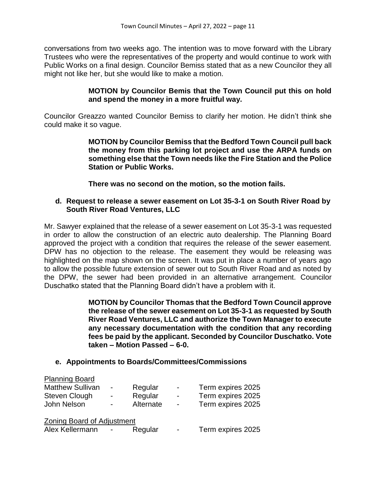conversations from two weeks ago. The intention was to move forward with the Library Trustees who were the representatives of the property and would continue to work with Public Works on a final design. Councilor Bemiss stated that as a new Councilor they all might not like her, but she would like to make a motion.

### **MOTION by Councilor Bemis that the Town Council put this on hold and spend the money in a more fruitful way.**

Councilor Greazzo wanted Councilor Bemiss to clarify her motion. He didn't think she could make it so vague.

> **MOTION by Councilor Bemiss that the Bedford Town Council pull back the money from this parking lot project and use the ARPA funds on something else that the Town needs like the Fire Station and the Police Station or Public Works.**

**There was no second on the motion, so the motion fails.**

## **d. Request to release a sewer easement on Lot 35-3-1 on South River Road by South River Road Ventures, LLC**

Mr. Sawyer explained that the release of a sewer easement on Lot 35-3-1 was requested in order to allow the construction of an electric auto dealership. The Planning Board approved the project with a condition that requires the release of the sewer easement. DPW has no objection to the release. The easement they would be releasing was highlighted on the map shown on the screen. It was put in place a number of years ago to allow the possible future extension of sewer out to South River Road and as noted by the DPW, the sewer had been provided in an alternative arrangement. Councilor Duschatko stated that the Planning Board didn't have a problem with it.

> **MOTION by Councilor Thomas that the Bedford Town Council approve the release of the sewer easement on Lot 35-3-1 as requested by South River Road Ventures, LLC and authorize the Town Manager to execute any necessary documentation with the condition that any recording fees be paid by the applicant. Seconded by Councilor Duschatko. Vote taken – Motion Passed – 6-0.**

# **e. Appointments to Boards/Committees/Commissions**

| <b>Planning Board</b>             |                          |           |                          |                   |  |  |
|-----------------------------------|--------------------------|-----------|--------------------------|-------------------|--|--|
| <b>Matthew Sullivan</b>           | $\overline{\phantom{0}}$ | Regular   | $\overline{\phantom{a}}$ | Term expires 2025 |  |  |
| Steven Clough                     | -                        | Regular   | $\blacksquare$           | Term expires 2025 |  |  |
| John Nelson                       | -                        | Alternate | $\blacksquare$           | Term expires 2025 |  |  |
| <b>Zoning Board of Adjustment</b> |                          |           |                          |                   |  |  |
| Alex Kellermann                   |                          | Regular   | $\blacksquare$           | Term expires 2025 |  |  |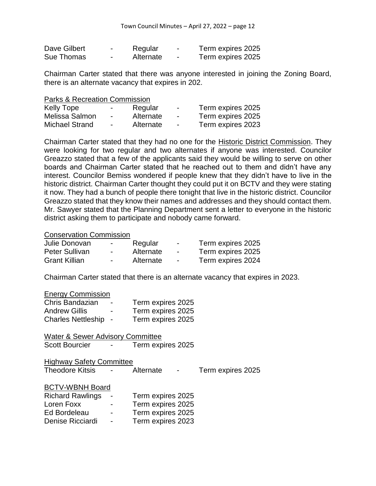| Dave Gilbert | $\overline{\phantom{0}}$ | Regular   | $\overline{\phantom{0}}$ | Term expires 2025 |
|--------------|--------------------------|-----------|--------------------------|-------------------|
| Sue Thomas   | $\overline{\phantom{0}}$ | Alternate | $\overline{\phantom{0}}$ | Term expires 2025 |

Chairman Carter stated that there was anyone interested in joining the Zoning Board, there is an alternate vacancy that expires in 202.

| Kelly Tope     | $\sim$ | Regular   | $\blacksquare$ | Term expires 2025 |
|----------------|--------|-----------|----------------|-------------------|
| Melissa Salmon | $\sim$ | Alternate | $\sim$         | Term expires 2025 |
| Michael Strand | $\sim$ | Alternate | $\sim$         | Term expires 2023 |

Chairman Carter stated that they had no one for the Historic District Commission. They were looking for two regular and two alternates if anyone was interested. Councilor Greazzo stated that a few of the applicants said they would be willing to serve on other boards and Chairman Carter stated that he reached out to them and didn't have any interest. Councilor Bemiss wondered if people knew that they didn't have to live in the historic district. Chairman Carter thought they could put it on BCTV and they were stating it now. They had a bunch of people there tonight that live in the historic district. Councilor Greazzo stated that they know their names and addresses and they should contact them. Mr. Sawyer stated that the Planning Department sent a letter to everyone in the historic district asking them to participate and nobody came forward.

#### Conservation Commission

| Julie Donovan         | $\sim$           | Regular   | $\overline{\phantom{a}}$ | Term expires 2025 |
|-----------------------|------------------|-----------|--------------------------|-------------------|
| <b>Peter Sullivan</b> | $\sim$           | Alternate | $\overline{\phantom{a}}$ | Term expires 2025 |
| <b>Grant Killian</b>  | $\sim$ 100 $\mu$ | Alternate | $\sim$                   | Term expires 2024 |

Chairman Carter stated that there is an alternate vacancy that expires in 2023.

#### Energy Commission

| Chris Bandazian           | $\blacksquare$ | Term expires 2025 |
|---------------------------|----------------|-------------------|
| <b>Andrew Gillis</b>      | -              | Term expires 2025 |
| <b>Charles Nettleship</b> | $\sim$         | Term expires 2025 |

Water & Sewer Advisory Committee Scott Bourcier - Term expires 2025

| <b>Highway Safety Committee</b> |           |                   |
|---------------------------------|-----------|-------------------|
| <b>Theodore Kitsis</b>          | Alternate | Term expires 2025 |

|  | <b>BCTV-WBNH Board</b> |
|--|------------------------|
|  |                        |

| <b>Richard Rawlings</b> |                          | Term expires 2025 |
|-------------------------|--------------------------|-------------------|
| Loren Foxx              | -                        | Term expires 2025 |
| Ed Bordeleau            | $\blacksquare$           | Term expires 2025 |
| Denise Ricciardi        | $\overline{\phantom{0}}$ | Term expires 2023 |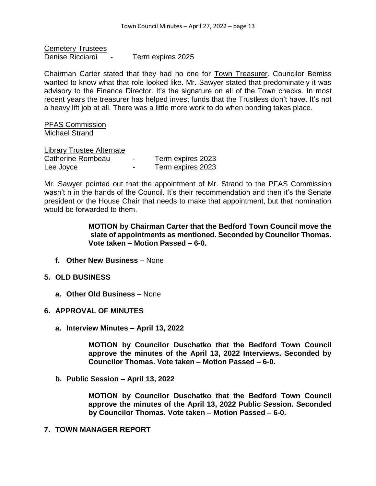Cemetery Trustees Denise Ricciardi - Term expires 2025

Chairman Carter stated that they had no one for Town Treasurer. Councilor Bemiss wanted to know what that role looked like. Mr. Sawyer stated that predominately it was advisory to the Finance Director. It's the signature on all of the Town checks. In most recent years the treasurer has helped invest funds that the Trustless don't have. It's not a heavy lift job at all. There was a little more work to do when bonding takes place.

PFAS Commission Michael Strand

Library Trustee Alternate Catherine Rombeau - Term expires 2023 Lee Joyce **- Term expires 2023** 

Mr. Sawyer pointed out that the appointment of Mr. Strand to the PFAS Commission wasn't n in the hands of the Council. It's their recommendation and then it's the Senate president or the House Chair that needs to make that appointment, but that nomination would be forwarded to them.

> **MOTION by Chairman Carter that the Bedford Town Council move the slate of appointments as mentioned. Seconded by Councilor Thomas. Vote taken – Motion Passed – 6-0.**

**f. Other New Business** – None

### **5. OLD BUSINESS**

- **a. Other Old Business** None
- **6. APPROVAL OF MINUTES**
	- **a. Interview Minutes – April 13, 2022**

**MOTION by Councilor Duschatko that the Bedford Town Council approve the minutes of the April 13, 2022 Interviews. Seconded by Councilor Thomas. Vote taken – Motion Passed – 6-0.**

**b. Public Session – April 13, 2022**

**MOTION by Councilor Duschatko that the Bedford Town Council approve the minutes of the April 13, 2022 Public Session. Seconded by Councilor Thomas. Vote taken – Motion Passed – 6-0.**

### **7. TOWN MANAGER REPORT**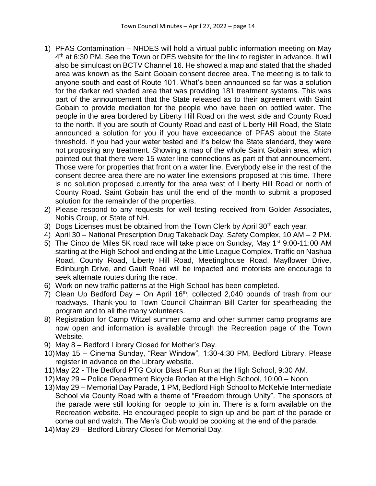- 1) PFAS Contamination NHDES will hold a virtual public information meeting on May 4<sup>th</sup> at 6:30 PM. See the Town or DES website for the link to register in advance. It will also be simulcast on BCTV Channel 16. He showed a map and stated that the shaded area was known as the Saint Gobain consent decree area. The meeting is to talk to anyone south and east of Route 101. What's been announced so far was a solution for the darker red shaded area that was providing 181 treatment systems. This was part of the announcement that the State released as to their agreement with Saint Gobain to provide mediation for the people who have been on bottled water. The people in the area bordered by Liberty Hill Road on the west side and County Road to the north. If you are south of County Road and east of Liberty Hill Road, the State announced a solution for you if you have exceedance of PFAS about the State threshold. If you had your water tested and it's below the State standard, they were not proposing any treatment. Showing a map of the whole Saint Gobain area, which pointed out that there were 15 water line connections as part of that announcement. Those were for properties that front on a water line. Everybody else in the rest of the consent decree area there are no water line extensions proposed at this time. There is no solution proposed currently for the area west of Liberty Hill Road or north of County Road. Saint Gobain has until the end of the month to submit a proposed solution for the remainder of the properties.
- 2) Please respond to any requests for well testing received from Golder Associates, Nobis Group, or State of NH.
- 3) Dogs Licenses must be obtained from the Town Clerk by April  $30<sup>th</sup>$  each year.
- 4) April 30 National Prescription Drug Takeback Day, Safety Complex, 10 AM 2 PM.
- 5) The Cinco de Miles 5K road race will take place on Sunday, May 1st 9:00-11:00 AM starting at the High School and ending at the Little League Complex. Traffic on Nashua Road, County Road, Liberty Hill Road, Meetinghouse Road, Mayflower Drive, Edinburgh Drive, and Gault Road will be impacted and motorists are encourage to seek alternate routes during the race.
- 6) Work on new traffic patterns at the High School has been completed.
- 7) Clean Up Bedford Day On April  $16<sup>th</sup>$ , collected 2,040 pounds of trash from our roadways. Thank-you to Town Council Chairman Bill Carter for spearheading the program and to all the many volunteers.
- 8) Registration for Camp Witzel summer camp and other summer camp programs are now open and information is available through the Recreation page of the Town Website.
- 9) May 8 Bedford Library Closed for Mother's Day.
- 10)May 15 Cinema Sunday, "Rear Window", 1:30-4:30 PM, Bedford Library. Please register in advance on the Library website.
- 11)May 22 The Bedford PTG Color Blast Fun Run at the High School, 9:30 AM.
- 12)May 29 Police Department Bicycle Rodeo at the High School, 10:00 Noon
- 13)May 29 Memorial Day Parade, 1 PM, Bedford High School to McKelvie Intermediate School via County Road with a theme of "Freedom through Unity". The sponsors of the parade were still looking for people to join in. There is a form available on the Recreation website. He encouraged people to sign up and be part of the parade or come out and watch. The Men's Club would be cooking at the end of the parade.
- 14)May 29 Bedford Library Closed for Memorial Day.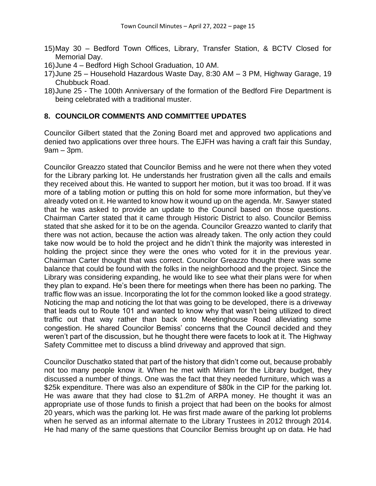- 15)May 30 Bedford Town Offices, Library, Transfer Station, & BCTV Closed for Memorial Day.
- 16)June 4 Bedford High School Graduation, 10 AM.
- 17)June 25 Household Hazardous Waste Day, 8:30 AM 3 PM, Highway Garage, 19 Chubbuck Road.
- 18)June 25 The 100th Anniversary of the formation of the Bedford Fire Department is being celebrated with a traditional muster.

# **8. COUNCILOR COMMENTS AND COMMITTEE UPDATES**

Councilor Gilbert stated that the Zoning Board met and approved two applications and denied two applications over three hours. The EJFH was having a craft fair this Sunday, 9am – 3pm.

Councilor Greazzo stated that Councilor Bemiss and he were not there when they voted for the Library parking lot. He understands her frustration given all the calls and emails they received about this. He wanted to support her motion, but it was too broad. If it was more of a tabling motion or putting this on hold for some more information, but they've already voted on it. He wanted to know how it wound up on the agenda. Mr. Sawyer stated that he was asked to provide an update to the Council based on those questions. Chairman Carter stated that it came through Historic District to also. Councilor Bemiss stated that she asked for it to be on the agenda. Councilor Greazzo wanted to clarify that there was not action, because the action was already taken. The only action they could take now would be to hold the project and he didn't think the majority was interested in holding the project since they were the ones who voted for it in the previous year. Chairman Carter thought that was correct. Councilor Greazzo thought there was some balance that could be found with the folks in the neighborhood and the project. Since the Library was considering expanding, he would like to see what their plans were for when they plan to expand. He's been there for meetings when there has been no parking. The traffic flow was an issue. Incorporating the lot for the common looked like a good strategy. Noticing the map and noticing the lot that was going to be developed, there is a driveway that leads out to Route 101 and wanted to know why that wasn't being utilized to direct traffic out that way rather than back onto Meetinghouse Road alleviating some congestion. He shared Councilor Bemiss' concerns that the Council decided and they weren't part of the discussion, but he thought there were facets to look at it. The Highway Safety Committee met to discuss a blind driveway and approved that sign.

Councilor Duschatko stated that part of the history that didn't come out, because probably not too many people know it. When he met with Miriam for the Library budget, they discussed a number of things. One was the fact that they needed furniture, which was a \$25k expenditure. There was also an expenditure of \$80k in the CIP for the parking lot. He was aware that they had close to \$1.2m of ARPA money. He thought it was an appropriate use of those funds to finish a project that had been on the books for almost 20 years, which was the parking lot. He was first made aware of the parking lot problems when he served as an informal alternate to the Library Trustees in 2012 through 2014. He had many of the same questions that Councilor Bemiss brought up on data. He had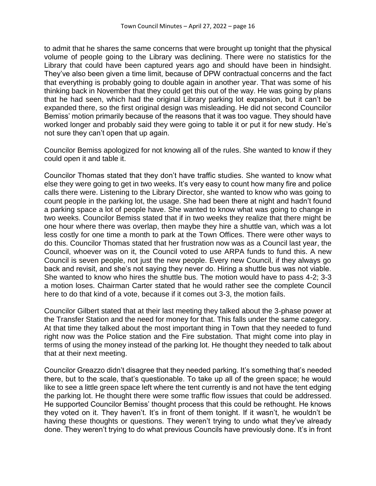to admit that he shares the same concerns that were brought up tonight that the physical volume of people going to the Library was declining. There were no statistics for the Library that could have been captured years ago and should have been in hindsight. They've also been given a time limit, because of DPW contractual concerns and the fact that everything is probably going to double again in another year. That was some of his thinking back in November that they could get this out of the way. He was going by plans that he had seen, which had the original Library parking lot expansion, but it can't be expanded there, so the first original design was misleading. He did not second Councilor Bemiss' motion primarily because of the reasons that it was too vague. They should have worked longer and probably said they were going to table it or put it for new study. He's not sure they can't open that up again.

Councilor Bemiss apologized for not knowing all of the rules. She wanted to know if they could open it and table it.

Councilor Thomas stated that they don't have traffic studies. She wanted to know what else they were going to get in two weeks. It's very easy to count how many fire and police calls there were. Listening to the Library Director, she wanted to know who was going to count people in the parking lot, the usage. She had been there at night and hadn't found a parking space a lot of people have. She wanted to know what was going to change in two weeks. Councilor Bemiss stated that if in two weeks they realize that there might be one hour where there was overlap, then maybe they hire a shuttle van, which was a lot less costly for one time a month to park at the Town Offices. There were other ways to do this. Councilor Thomas stated that her frustration now was as a Council last year, the Council, whoever was on it, the Council voted to use ARPA funds to fund this. A new Council is seven people, not just the new people. Every new Council, if they always go back and revisit, and she's not saying they never do. Hiring a shuttle bus was not viable. She wanted to know who hires the shuttle bus. The motion would have to pass 4-2; 3-3 a motion loses. Chairman Carter stated that he would rather see the complete Council here to do that kind of a vote, because if it comes out 3-3, the motion fails.

Councilor Gilbert stated that at their last meeting they talked about the 3-phase power at the Transfer Station and the need for money for that. This falls under the same category. At that time they talked about the most important thing in Town that they needed to fund right now was the Police station and the Fire substation. That might come into play in terms of using the money instead of the parking lot. He thought they needed to talk about that at their next meeting.

Councilor Greazzo didn't disagree that they needed parking. It's something that's needed there, but to the scale, that's questionable. To take up all of the green space; he would like to see a little green space left where the tent currently is and not have the tent edging the parking lot. He thought there were some traffic flow issues that could be addressed. He supported Councilor Bemiss' thought process that this could be rethought. He knows they voted on it. They haven't. It's in front of them tonight. If it wasn't, he wouldn't be having these thoughts or questions. They weren't trying to undo what they've already done. They weren't trying to do what previous Councils have previously done. It's in front